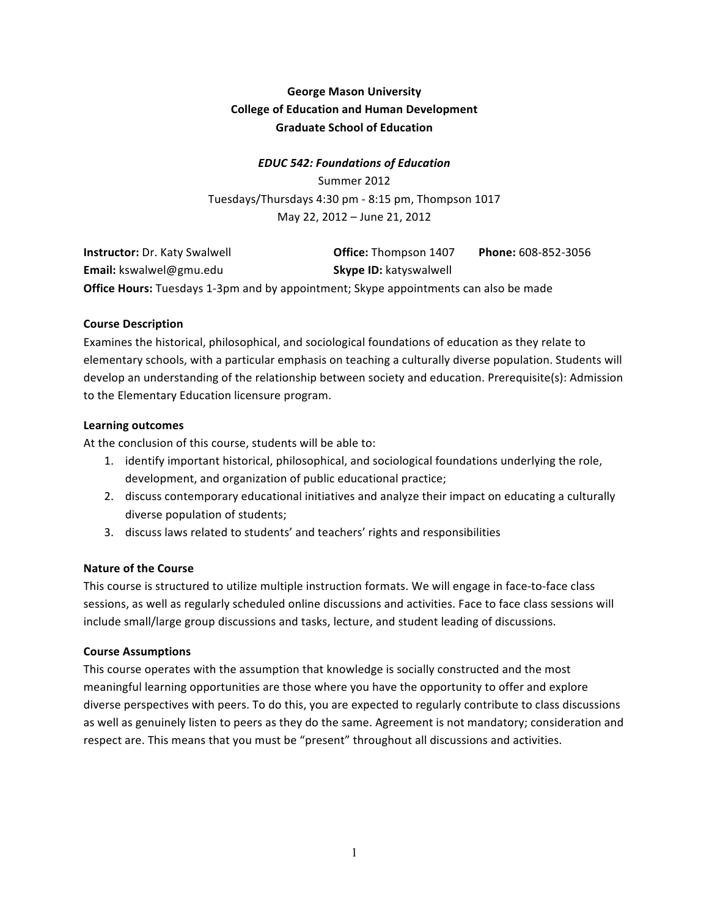# **George Mason University College of Education and Human Development Graduate School of Education**

## *EDUC%542:%Foundations%of%Education*

Summer 2012 Tuesdays/Thursdays 4:30 pm - 8:15 pm, Thompson 1017 May 22, 2012 – June 21, 2012

| <b>Instructor:</b> Dr. Katy Swalwell                                                        | <b>Office:</b> Thompson 1407  | Phone: 608-852-3056 |  |
|---------------------------------------------------------------------------------------------|-------------------------------|---------------------|--|
| <b>Email:</b> kswalwel@gmu.edu                                                              | <b>Skype ID: katyswalwell</b> |                     |  |
| <b>Office Hours:</b> Tuesdays 1-3pm and by appointment; Skype appointments can also be made |                               |                     |  |

#### **Course Description**

Examines the historical, philosophical, and sociological foundations of education as they relate to elementary schools, with a particular emphasis on teaching a culturally diverse population. Students will develop an understanding of the relationship between society and education. Prerequisite(s): Admission to the Elementary Education licensure program.

#### **Learning outcomes**

At the conclusion of this course, students will be able to:

- 1. identify important historical, philosophical, and sociological foundations underlying the role, development, and organization of public educational practice;
- 2. discuss contemporary educational initiatives and analyze their impact on educating a culturally diverse population of students;
- 3. discuss laws related to students' and teachers' rights and responsibilities

#### **Nature of the Course**

This course is structured to utilize multiple instruction formats. We will engage in face-to-face class sessions, as well as regularly scheduled online discussions and activities. Face to face class sessions will include small/large group discussions and tasks, lecture, and student leading of discussions.

#### **Course Assumptions**

This course operates with the assumption that knowledge is socially constructed and the most meaningful learning opportunities are those where you have the opportunity to offer and explore diverse perspectives with peers. To do this, you are expected to regularly contribute to class discussions as well as genuinely listen to peers as they do the same. Agreement is not mandatory; consideration and respect are. This means that you must be "present" throughout all discussions and activities.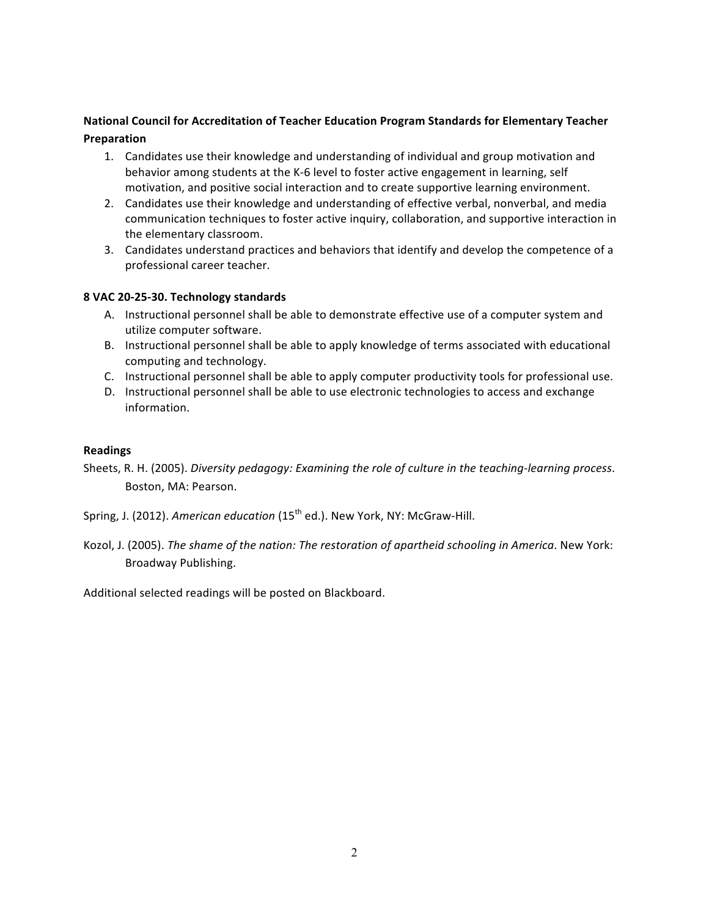## **National Council for Accreditation of Teacher Education Program Standards for Elementary Teacher Preparation**

- 1. Candidates use their knowledge and understanding of individual and group motivation and behavior among students at the K-6 level to foster active engagement in learning, self motivation, and positive social interaction and to create supportive learning environment.
- 2. Candidates use their knowledge and understanding of effective verbal, nonverbal, and media communication techniques to foster active inquiry, collaboration, and supportive interaction in the elementary classroom.
- 3. Candidates understand practices and behaviors that identify and develop the competence of a professional career teacher.

## 8 VAC 20-25-30. Technology standards

- A. Instructional personnel shall be able to demonstrate effective use of a computer system and utilize computer software.
- B. Instructional personnel shall be able to apply knowledge of terms associated with educational computing and technology.
- C. Instructional personnel shall be able to apply computer productivity tools for professional use.
- D. Instructional personnel shall be able to use electronic technologies to access and exchange information.

#### **Readings**

- Sheets, R. H. (2005). *Diversity pedagogy: Examining the role of culture in the teaching-learning process.* Boston, MA: Pearson.
- Spring, J. (2012). *American education* (15<sup>th</sup> ed.). New York, NY: McGraw-Hill.
- Kozol, J. (2005). *The shame of the nation: The restoration of apartheid schooling in America*. New York: Broadway Publishing.

Additional selected readings will be posted on Blackboard.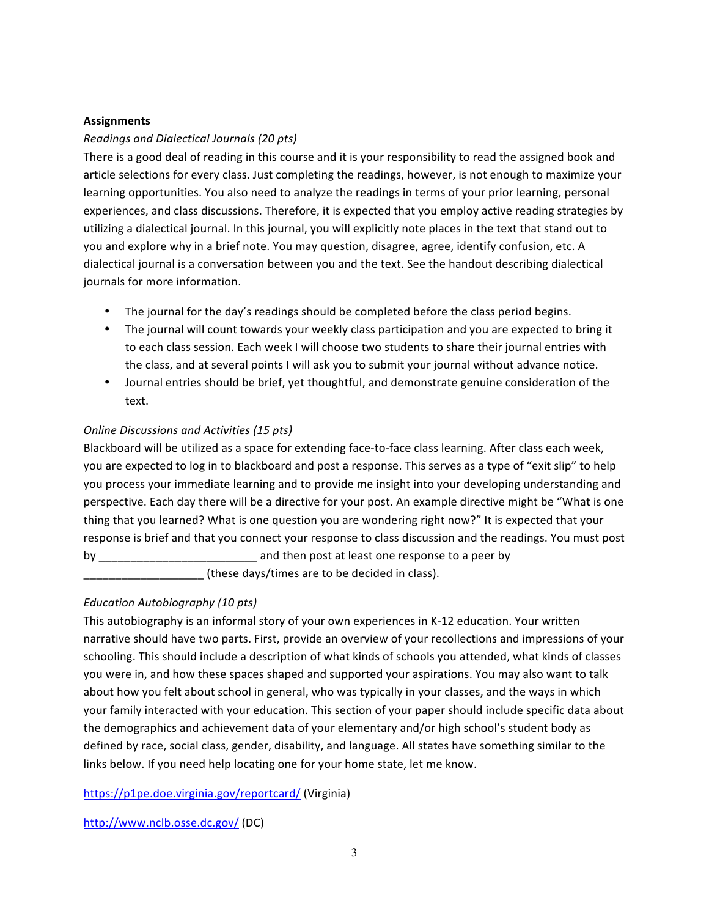## **Assignments**

## *Readings!and!Dialectical!Journals!(20 pts)*

There is a good deal of reading in this course and it is your responsibility to read the assigned book and article selections for every class. Just completing the readings, however, is not enough to maximize your learning opportunities. You also need to analyze the readings in terms of your prior learning, personal experiences, and class discussions. Therefore, it is expected that you employ active reading strategies by utilizing a dialectical journal. In this journal, you will explicitly note places in the text that stand out to you and explore why in a brief note. You may question, disagree, agree, identify confusion, etc. A dialectical journal is a conversation between you and the text. See the handout describing dialectical journals for more information.

- The journal for the day's readings should be completed before the class period begins.
- The journal will count towards your weekly class participation and you are expected to bring it to each class session. Each week I will choose two students to share their journal entries with the class, and at several points I will ask you to submit your journal without advance notice.
- Journal entries should be brief, yet thoughtful, and demonstrate genuine consideration of the text.

## *Online Discussions and Activities (15 pts)*

Blackboard will be utilized as a space for extending face-to-face class learning. After class each week, you are expected to log in to blackboard and post a response. This serves as a type of "exit slip" to help you process your immediate learning and to provide me insight into your developing understanding and perspective. Each day there will be a directive for your post. An example directive might be "What is one thing that you learned? What is one question you are wondering right now?" It is expected that your response is brief and that you connect your response to class discussion and the readings. You must post by by the controller and then post at least one response to a peer by the set of  $p$ these days/times are to be decided in class).

#### *Education Autobiography (10 pts)*

This autobiography is an informal story of your own experiences in K-12 education. Your written narrative should have two parts. First, provide an overview of your recollections and impressions of your schooling. This should include a description of what kinds of schools you attended, what kinds of classes you were in, and how these spaces shaped and supported your aspirations. You may also want to talk about how you felt about school in general, who was typically in your classes, and the ways in which your family interacted with your education. This section of your paper should include specific data about the demographics and achievement data of your elementary and/or high school's student body as defined by race, social class, gender, disability, and language. All states have something similar to the links below. If you need help locating one for your home state, let me know.

https://p1pe.doe.virginia.gov/reportcard/ (Virginia)

http://www.nclb.osse.dc.gov/ (DC)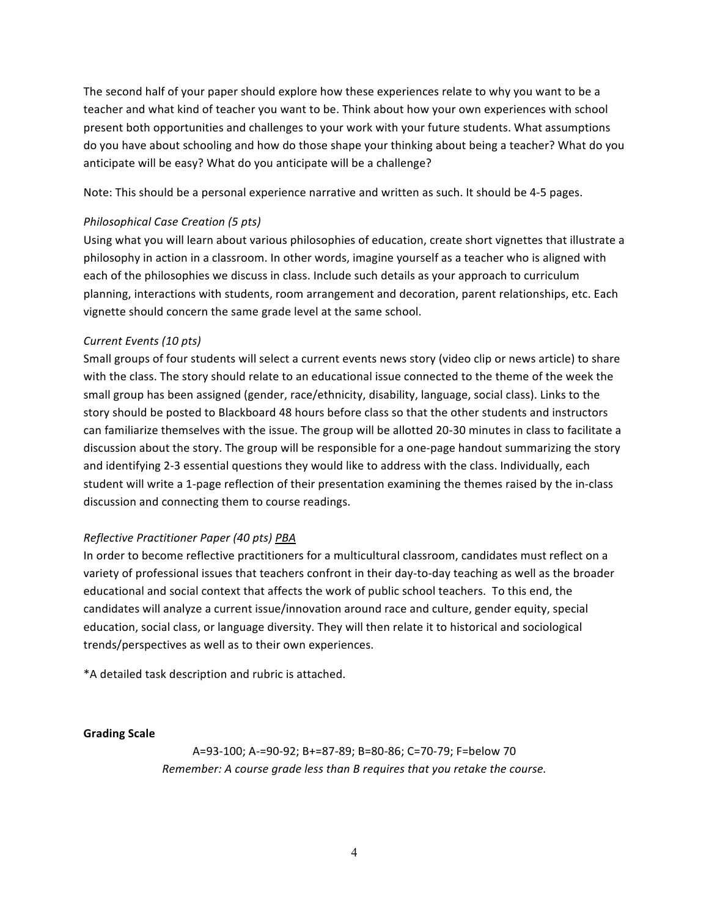The second half of your paper should explore how these experiences relate to why you want to be a teacher and what kind of teacher you want to be. Think about how your own experiences with school present both opportunities and challenges to your work with your future students. What assumptions do you have about schooling and how do those shape your thinking about being a teacher? What do you anticipate will be easy? What do you anticipate will be a challenge?

Note: This should be a personal experience narrative and written as such. It should be 4-5 pages.

### *Philosophical Case Creation (5 pts)*

Using what you will learn about various philosophies of education, create short vignettes that illustrate a philosophy in action in a classroom. In other words, imagine yourself as a teacher who is aligned with each of the philosophies we discuss in class. Include such details as your approach to curriculum planning, interactions with students, room arrangement and decoration, parent relationships, etc. Each vignette should concern the same grade level at the same school.

## *Current Events (10 pts)*

Small groups of four students will select a current events news story (video clip or news article) to share with the class. The story should relate to an educational issue connected to the theme of the week the small group has been assigned (gender, race/ethnicity, disability, language, social class). Links to the story should be posted to Blackboard 48 hours before class so that the other students and instructors can familiarize themselves with the issue. The group will be allotted 20-30 minutes in class to facilitate a discussion about the story. The group will be responsible for a one-page handout summarizing the story and identifying 2-3 essential questions they would like to address with the class. Individually, each student will write a 1-page reflection of their presentation examining the themes raised by the in-class discussion and connecting them to course readings.

#### *Reflective!Practitioner!Paper!(40!pts) PBA*

In order to become reflective practitioners for a multicultural classroom, candidates must reflect on a variety of professional issues that teachers confront in their day-to-day teaching as well as the broader educational and social context that affects the work of public school teachers. To this end, the candidates will analyze a current issue/innovation around race and culture, gender equity, special education, social class, or language diversity. They will then relate it to historical and sociological trends/perspectives as well as to their own experiences.

\*A detailed task description and rubric is attached.

#### **Grading Scale**

A=93-100; A-=90-92; B+=87-89; B=80-86; C=70-79; F=below 70 *Remember: A course grade less than B requires that you retake the course.*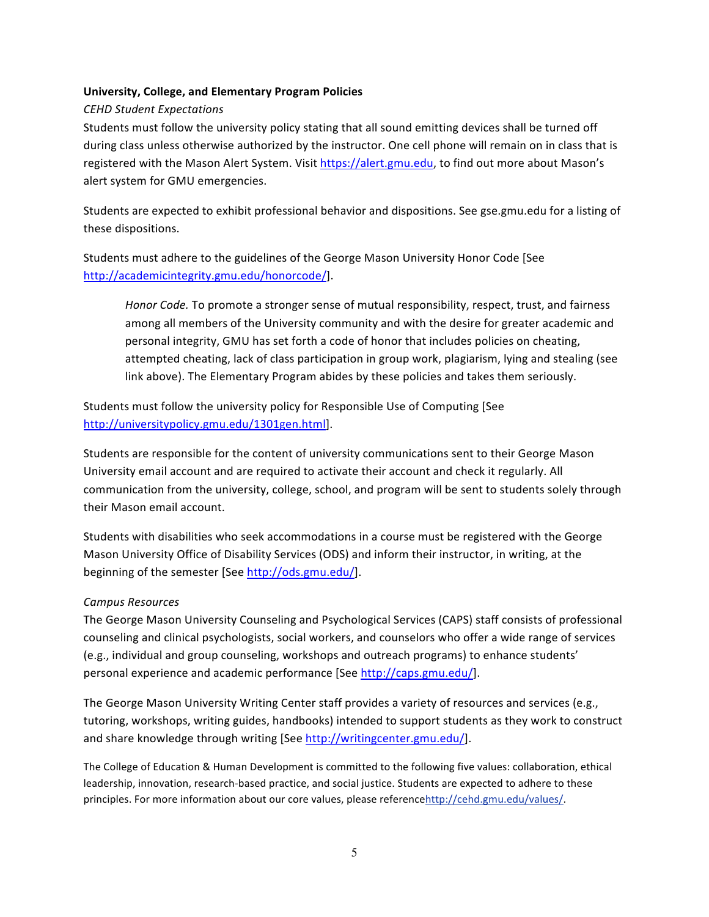#### **University, College, and Elementary Program Policies**

#### *CEHD!Student!Expectations*

Students must follow the university policy stating that all sound emitting devices shall be turned off during class unless otherwise authorized by the instructor. One cell phone will remain on in class that is registered with the Mason Alert System. Visit https://alert.gmu.edu, to find out more about Mason's alert system for GMU emergencies.

Students are expected to exhibit professional behavior and dispositions. See gse.gmu.edu for a listing of these dispositions.

Students must adhere to the guidelines of the George Mason University Honor Code [See http://academicintegrity.gmu.edu/honorcode/].

Honor Code. To promote a stronger sense of mutual responsibility, respect, trust, and fairness among all members of the University community and with the desire for greater academic and personal integrity, GMU has set forth a code of honor that includes policies on cheating, attempted cheating, lack of class participation in group work, plagiarism, lying and stealing (see link above). The Elementary Program abides by these policies and takes them seriously.

Students must follow the university policy for Responsible Use of Computing [See http://universitypolicy.gmu.edu/1301gen.html].

Students are responsible for the content of university communications sent to their George Mason University email account and are required to activate their account and check it regularly. All communication from the university, college, school, and program will be sent to students solely through their Mason email account.

Students with disabilities who seek accommodations in a course must be registered with the George Mason University Office of Disability Services (ODS) and inform their instructor, in writing, at the beginning of the semester [See http://ods.gmu.edu/].

#### *Campus!Resources*

The George Mason University Counseling and Psychological Services (CAPS) staff consists of professional counseling and clinical psychologists, social workers, and counselors who offer a wide range of services (e.g., individual and group counseling, workshops and outreach programs) to enhance students' personal experience and academic performance [See http://caps.gmu.edu/].

The George Mason University Writing Center staff provides a variety of resources and services (e.g., tutoring, workshops, writing guides, handbooks) intended to support students as they work to construct and share knowledge through writing [See http://writingcenter.gmu.edu/].

The College of Education & Human Development is committed to the following five values: collaboration, ethical leadership, innovation, research-based practice, and social justice. Students are expected to adhere to these principles. For more information about our core values, please referencehttp://cehd.gmu.edu/values/.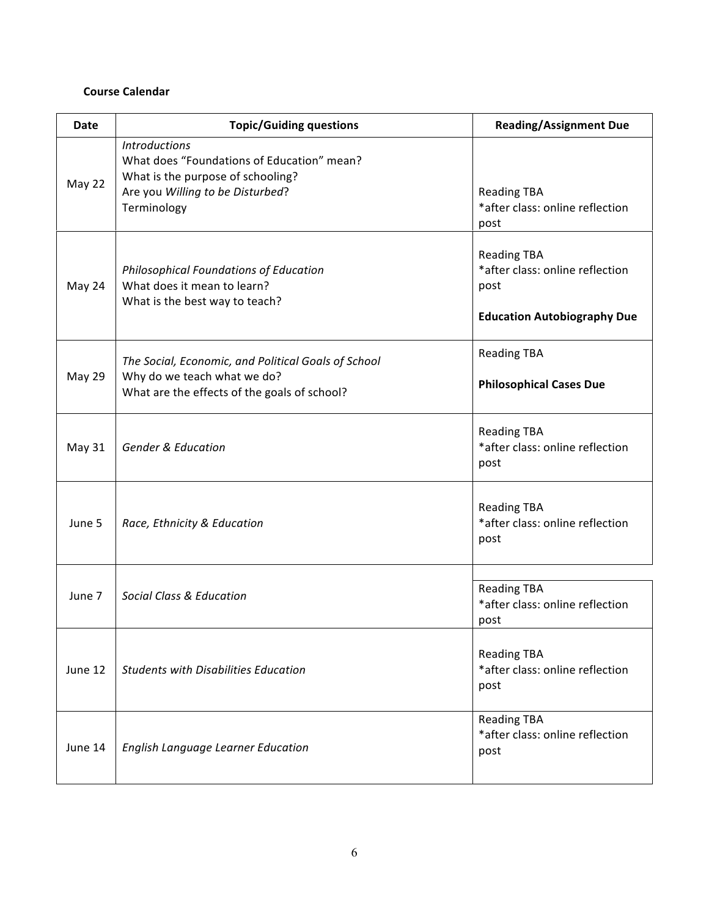## **Course Calendar**

| Date    | <b>Topic/Guiding questions</b>                                                                                                                             | <b>Reading/Assignment Due</b>                                                                       |
|---------|------------------------------------------------------------------------------------------------------------------------------------------------------------|-----------------------------------------------------------------------------------------------------|
| May 22  | <b>Introductions</b><br>What does "Foundations of Education" mean?<br>What is the purpose of schooling?<br>Are you Willing to be Disturbed?<br>Terminology | <b>Reading TBA</b><br>*after class: online reflection<br>post                                       |
| May 24  | <b>Philosophical Foundations of Education</b><br>What does it mean to learn?<br>What is the best way to teach?                                             | <b>Reading TBA</b><br>*after class: online reflection<br>post<br><b>Education Autobiography Due</b> |
| May 29  | The Social, Economic, and Political Goals of School<br>Why do we teach what we do?<br>What are the effects of the goals of school?                         | <b>Reading TBA</b><br><b>Philosophical Cases Due</b>                                                |
| May 31  | <b>Gender &amp; Education</b>                                                                                                                              | <b>Reading TBA</b><br>*after class: online reflection<br>post                                       |
| June 5  | Race, Ethnicity & Education                                                                                                                                | <b>Reading TBA</b><br>*after class: online reflection<br>post                                       |
| June 7  | <b>Social Class &amp; Education</b>                                                                                                                        | <b>Reading TBA</b><br>*after class: online reflection<br>post                                       |
| June 12 | <b>Students with Disabilities Education</b>                                                                                                                | <b>Reading TBA</b><br>*after class: online reflection<br>post                                       |
| June 14 | <b>English Language Learner Education</b>                                                                                                                  | <b>Reading TBA</b><br>*after class: online reflection<br>post                                       |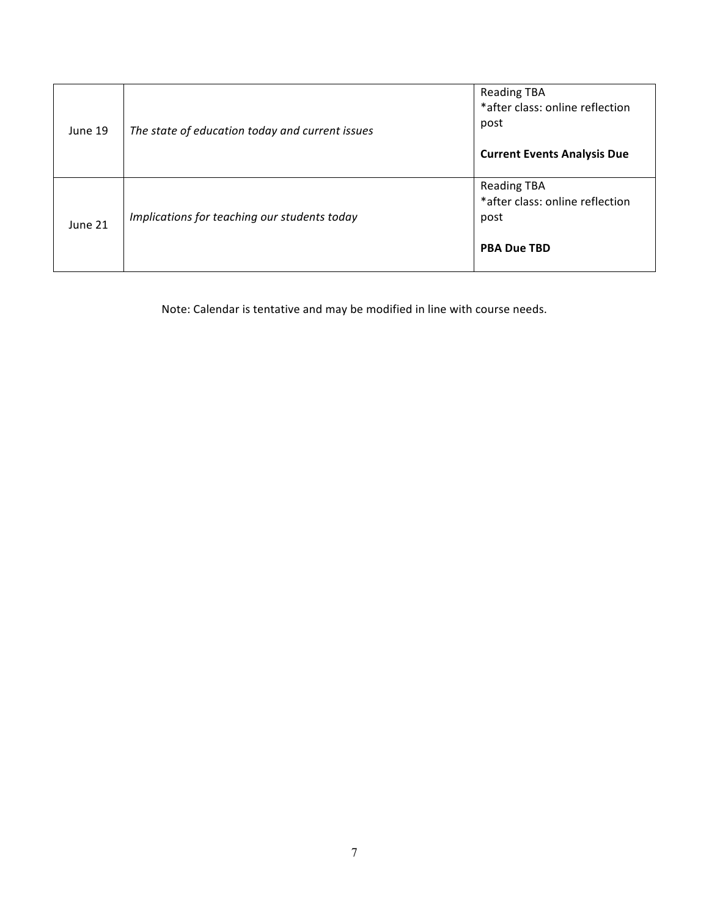| June 19 | The state of education today and current issues | <b>Reading TBA</b><br>*after class: online reflection<br>post<br><b>Current Events Analysis Due</b> |
|---------|-------------------------------------------------|-----------------------------------------------------------------------------------------------------|
| June 21 | Implications for teaching our students today    | <b>Reading TBA</b><br>*after class: online reflection<br>post<br><b>PBA Due TBD</b>                 |

Note: Calendar is tentative and may be modified in line with course needs.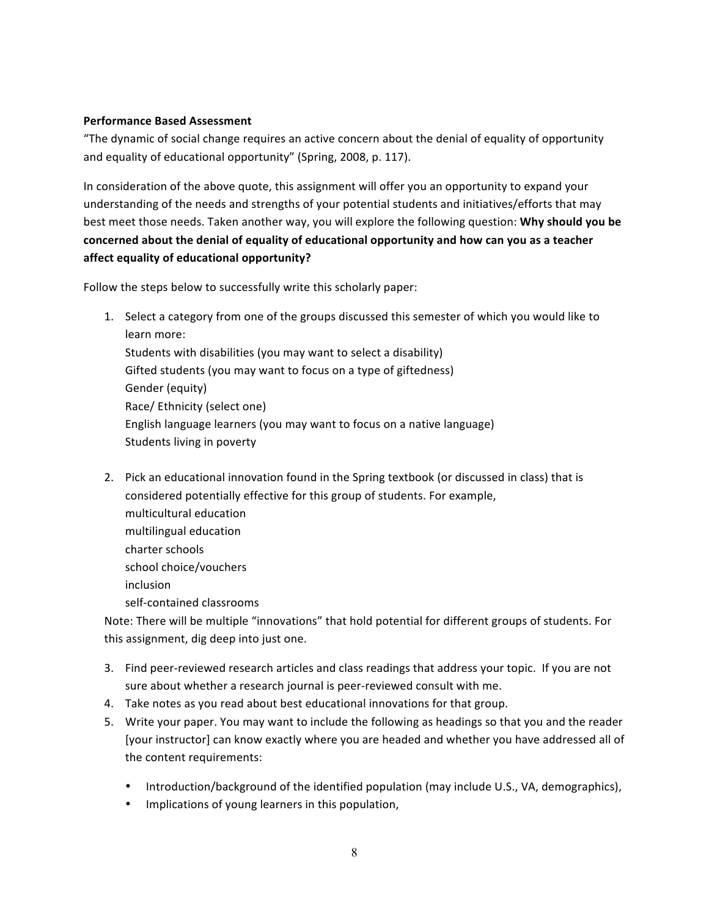#### **Performance Based Assessment**

"The dynamic of social change requires an active concern about the denial of equality of opportunity and equality of educational opportunity" (Spring, 2008, p. 117).

In consideration of the above quote, this assignment will offer you an opportunity to expand your understanding of the needs and strengths of your potential students and initiatives/efforts that may best meet those needs. Taken another way, you will explore the following question: Why should you be concerned about the denial of equality of educational opportunity and how can you as a teacher affect equality of educational opportunity?

Follow the steps below to successfully write this scholarly paper:

- 1. Select a category from one of the groups discussed this semester of which you would like to learn more: Students with disabilities (you may want to select a disability) Gifted students (you may want to focus on a type of giftedness) Gender (equity) Race/ Ethnicity (select one) English language learners (you may want to focus on a native language) Students living in poverty
- 2. Pick an educational innovation found in the Spring textbook (or discussed in class) that is considered potentially effective for this group of students. For example, multicultural!education multilingual education charter schools school choice/vouchers inclusion self-contained classrooms

Note: There will be multiple "innovations" that hold potential for different groups of students. For this assignment, dig deep into just one.

- 3. Find peer-reviewed research articles and class readings that address your topic. If you are not sure about whether a research journal is peer-reviewed consult with me.
- 4. Take notes as you read about best educational innovations for that group.
- 5. Write your paper. You may want to include the following as headings so that you and the reader [your instructor] can know exactly where you are headed and whether you have addressed all of the content requirements:
	- Introduction/background of the identified population (may include U.S., VA, demographics),
	- Implications of young learners in this population,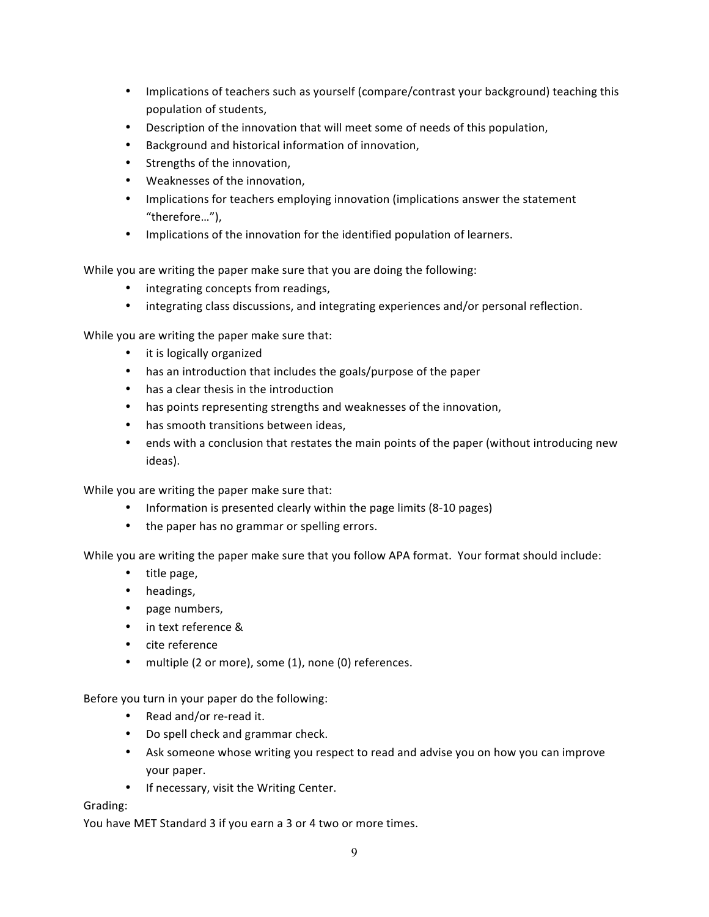- Implications of teachers such as yourself (compare/contrast your background) teaching this population of students,
- Description of the innovation that will meet some of needs of this population,
- Background and historical information of innovation,
- Strengths of the innovation,
- Weaknesses of the innovation,
- Implications for teachers employing innovation (implications answer the statement "therefore…"),
- Implications of the innovation for the identified population of learners.

While you are writing the paper make sure that you are doing the following:

- integrating concepts from readings,
- integrating class discussions, and integrating experiences and/or personal reflection.

While you are writing the paper make sure that:

- it is logically organized
- has an introduction that includes the goals/purpose of the paper
- has a clear thesis in the introduction
- has points representing strengths and weaknesses of the innovation,
- has smooth transitions between ideas,
- ends with a conclusion that restates the main points of the paper (without introducing new ideas).

While you are writing the paper make sure that:

- Information is presented clearly within the page limits (8-10 pages)
- the paper has no grammar or spelling errors.

While you are writing the paper make sure that you follow APA format. Your format should include:

- title page,
- headings,
- page numbers,
- in text reference &
- cite reference
- multiple (2 or more), some (1), none (0) references.

Before you turn in your paper do the following:

- Read and/or re-read it.
- Do spell check and grammar check.
- Ask someone whose writing you respect to read and advise you on how you can improve your paper.
- If necessary, visit the Writing Center.

#### Grading:

You have MET Standard 3 if you earn a 3 or 4 two or more times.